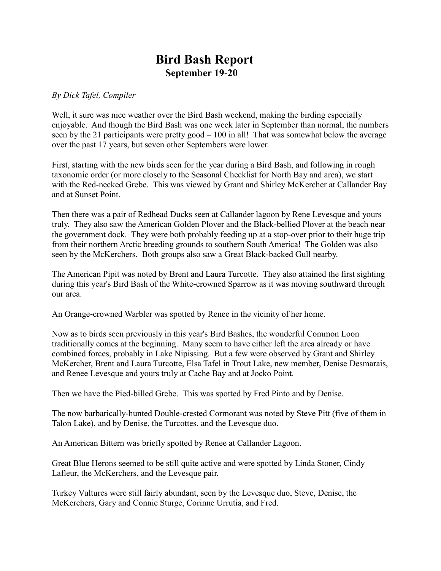## **Bird Bash Report September 19-20**

## *By Dick Tafel, Compiler*

Well, it sure was nice weather over the Bird Bash weekend, making the birding especially enjoyable. And though the Bird Bash was one week later in September than normal, the numbers seen by the 21 participants were pretty good – 100 in all! That was somewhat below the average over the past 17 years, but seven other Septembers were lower.

First, starting with the new birds seen for the year during a Bird Bash, and following in rough taxonomic order (or more closely to the Seasonal Checklist for North Bay and area), we start with the Red-necked Grebe. This was viewed by Grant and Shirley McKercher at Callander Bay and at Sunset Point.

Then there was a pair of Redhead Ducks seen at Callander lagoon by Rene Levesque and yours truly. They also saw the American Golden Plover and the Black-bellied Plover at the beach near the government dock. They were both probably feeding up at a stop-over prior to their huge trip from their northern Arctic breeding grounds to southern South America! The Golden was also seen by the McKerchers. Both groups also saw a Great Black-backed Gull nearby.

The American Pipit was noted by Brent and Laura Turcotte. They also attained the first sighting during this year's Bird Bash of the White-crowned Sparrow as it was moving southward through our area.

An Orange-crowned Warbler was spotted by Renee in the vicinity of her home.

Now as to birds seen previously in this year's Bird Bashes, the wonderful Common Loon traditionally comes at the beginning. Many seem to have either left the area already or have combined forces, probably in Lake Nipissing. But a few were observed by Grant and Shirley McKercher, Brent and Laura Turcotte, Elsa Tafel in Trout Lake, new member, Denise Desmarais, and Renee Levesque and yours truly at Cache Bay and at Jocko Point.

Then we have the Pied-billed Grebe. This was spotted by Fred Pinto and by Denise.

The now barbarically-hunted Double-crested Cormorant was noted by Steve Pitt (five of them in Talon Lake), and by Denise, the Turcottes, and the Levesque duo.

An American Bittern was briefly spotted by Renee at Callander Lagoon.

Great Blue Herons seemed to be still quite active and were spotted by Linda Stoner, Cindy Lafleur, the McKerchers, and the Levesque pair.

Turkey Vultures were still fairly abundant, seen by the Levesque duo, Steve, Denise, the McKerchers, Gary and Connie Sturge, Corinne Urrutia, and Fred.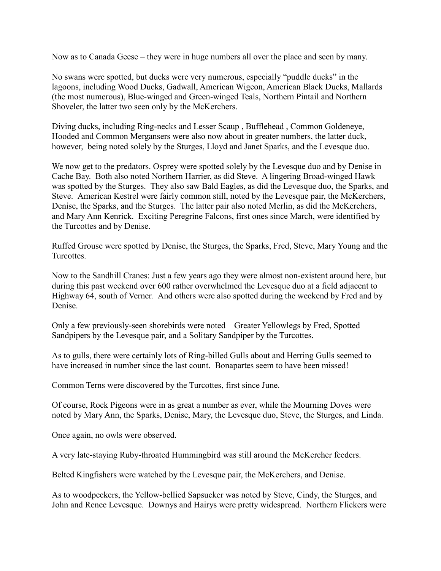Now as to Canada Geese – they were in huge numbers all over the place and seen by many.

No swans were spotted, but ducks were very numerous, especially "puddle ducks" in the lagoons, including Wood Ducks, Gadwall, American Wigeon, American Black Ducks, Mallards (the most numerous), Blue-winged and Green-winged Teals, Northern Pintail and Northern Shoveler, the latter two seen only by the McKerchers.

Diving ducks, including Ring-necks and Lesser Scaup , Bufflehead , Common Goldeneye, Hooded and Common Mergansers were also now about in greater numbers, the latter duck, however, being noted solely by the Sturges, Lloyd and Janet Sparks, and the Levesque duo.

We now get to the predators. Osprey were spotted solely by the Levesque duo and by Denise in Cache Bay. Both also noted Northern Harrier, as did Steve. A lingering Broad-winged Hawk was spotted by the Sturges. They also saw Bald Eagles, as did the Levesque duo, the Sparks, and Steve. American Kestrel were fairly common still, noted by the Levesque pair, the McKerchers, Denise, the Sparks, and the Sturges. The latter pair also noted Merlin, as did the McKerchers, and Mary Ann Kenrick. Exciting Peregrine Falcons, first ones since March, were identified by the Turcottes and by Denise.

Ruffed Grouse were spotted by Denise, the Sturges, the Sparks, Fred, Steve, Mary Young and the **Turcottes** 

Now to the Sandhill Cranes: Just a few years ago they were almost non-existent around here, but during this past weekend over 600 rather overwhelmed the Levesque duo at a field adjacent to Highway 64, south of Verner. And others were also spotted during the weekend by Fred and by Denise.

Only a few previously-seen shorebirds were noted – Greater Yellowlegs by Fred, Spotted Sandpipers by the Levesque pair, and a Solitary Sandpiper by the Turcottes.

As to gulls, there were certainly lots of Ring-billed Gulls about and Herring Gulls seemed to have increased in number since the last count. Bonapartes seem to have been missed!

Common Terns were discovered by the Turcottes, first since June.

Of course, Rock Pigeons were in as great a number as ever, while the Mourning Doves were noted by Mary Ann, the Sparks, Denise, Mary, the Levesque duo, Steve, the Sturges, and Linda.

Once again, no owls were observed.

A very late-staying Ruby-throated Hummingbird was still around the McKercher feeders.

Belted Kingfishers were watched by the Levesque pair, the McKerchers, and Denise.

As to woodpeckers, the Yellow-bellied Sapsucker was noted by Steve, Cindy, the Sturges, and John and Renee Levesque. Downys and Hairys were pretty widespread. Northern Flickers were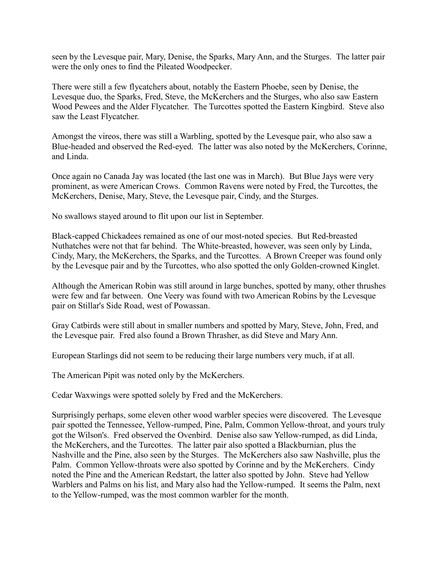seen by the Levesque pair, Mary, Denise, the Sparks, Mary Ann, and the Sturges. The latter pair were the only ones to find the Pileated Woodpecker.

There were still a few flycatchers about, notably the Eastern Phoebe, seen by Denise, the Levesque duo, the Sparks, Fred, Steve, the McKerchers and the Sturges, who also saw Eastern Wood Pewees and the Alder Flycatcher. The Turcottes spotted the Eastern Kingbird. Steve also saw the Least Flycatcher.

Amongst the vireos, there was still a Warbling, spotted by the Levesque pair, who also saw a Blue-headed and observed the Red-eyed. The latter was also noted by the McKerchers, Corinne, and Linda.

Once again no Canada Jay was located (the last one was in March). But Blue Jays were very prominent, as were American Crows. Common Ravens were noted by Fred, the Turcottes, the McKerchers, Denise, Mary, Steve, the Levesque pair, Cindy, and the Sturges.

No swallows stayed around to flit upon our list in September.

Black-capped Chickadees remained as one of our most-noted species. But Red-breasted Nuthatches were not that far behind. The White-breasted, however, was seen only by Linda, Cindy, Mary, the McKerchers, the Sparks, and the Turcottes. A Brown Creeper was found only by the Levesque pair and by the Turcottes, who also spotted the only Golden-crowned Kinglet.

Although the American Robin was still around in large bunches, spotted by many, other thrushes were few and far between. One Veery was found with two American Robins by the Levesque pair on Stillar's Side Road, west of Powassan.

Gray Catbirds were still about in smaller numbers and spotted by Mary, Steve, John, Fred, and the Levesque pair. Fred also found a Brown Thrasher, as did Steve and Mary Ann.

European Starlings did not seem to be reducing their large numbers very much, if at all.

The American Pipit was noted only by the McKerchers.

Cedar Waxwings were spotted solely by Fred and the McKerchers.

Surprisingly perhaps, some eleven other wood warbler species were discovered. The Levesque pair spotted the Tennessee, Yellow-rumped, Pine, Palm, Common Yellow-throat, and yours truly got the Wilson's. Fred observed the Ovenbird. Denise also saw Yellow-rumped, as did Linda, the McKerchers, and the Turcottes. The latter pair also spotted a Blackburnian, plus the Nashville and the Pine, also seen by the Sturges. The McKerchers also saw Nashville, plus the Palm. Common Yellow-throats were also spotted by Corinne and by the McKerchers. Cindy noted the Pine and the American Redstart, the latter also spotted by John. Steve had Yellow Warblers and Palms on his list, and Mary also had the Yellow-rumped. It seems the Palm, next to the Yellow-rumped, was the most common warbler for the month.